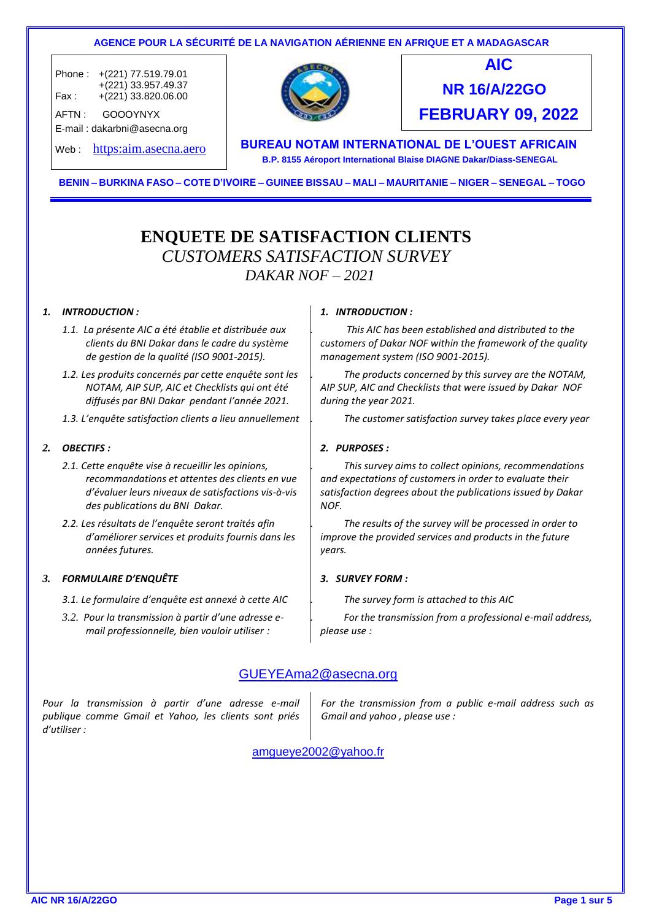

BENIN - BURKINA FASO - COTE D'IVOIRE - GUINEE BISSAU - MALI - MAURITANIE - NIGER - SENEGAL - TOGO

## **ENQUETE DE SATISFACTION CLIENTS**  *CUSTOMERS SATISFACTION SURVEY DAKAR NOF – 2021*

#### *1. INTRODUCTION :*

- *1.1. La présente AIC a été établie et distribuée aux clients du BNI Dakar dans le cadre du système de gestion de la qualité (ISO 9001-2015).*
- *1.2. Les produits concernés par cette enquête sont les NOTAM, AIP SUP, AIC et Checklists qui ont été diffusés par BNI Dakar pendant l'année 2021.*
- *1.3. L'enquête satisfaction clients a lieu annuellement*

#### *2. OBECTIFS :*

- *2.1. Cette enquête vise à recueillir les opinions, recommandations et attentes des clients en vue d'évaluer leurs niveaux de satisfactions vis-à-vis des publications du BNI Dakar.*
- *2.2. Les résultats de l'enquête seront traités afin d'améliorer services et produits fournis dans les années futures.*

#### *3. FORMULAIRE D'ENQUÊTE 3. SURVEY FORM :*

- *3.1. Le formulaire d'enquête est annexé à cette AIC*
- *3.2. Pour la transmission à partir d'une adresse email professionnelle, bien vouloir utiliser :*

#### *1. INTRODUCTION :*

*1.1. This AIC has been established and distributed to the customers of Dakar NOF within the framework of the quality management system (ISO 9001-2015).*

*1.2. The products concerned by this survey are the NOTAM, AIP SUP, AIC and Checklists that were issued by Dakar NOF during the year 2021.*

*1.3. The customer satisfaction survey takes place every year* 

#### *2. PURPOSES :*

*2.1. This survey aims to collect opinions, recommendations and expectations of customers in order to evaluate their satisfaction degrees about the publications issued by Dakar NOF.*

*2.2. The results of the survey will be processed in order to improve the provided services and products in the future years.*

*3.1. The survey form is attached to this AIC*

*3.2. For the transmission from a professional e-mail address, please use :* 

### GUEYEAma2@asecna.org

*Pour la transmission à partir d'une adresse e-mail publique comme Gmail et Yahoo, les clients sont priés d'utiliser :*

*For the transmission from a public e-mail address such as Gmail and yahoo , please use :* 

amgueye2002@yahoo.fr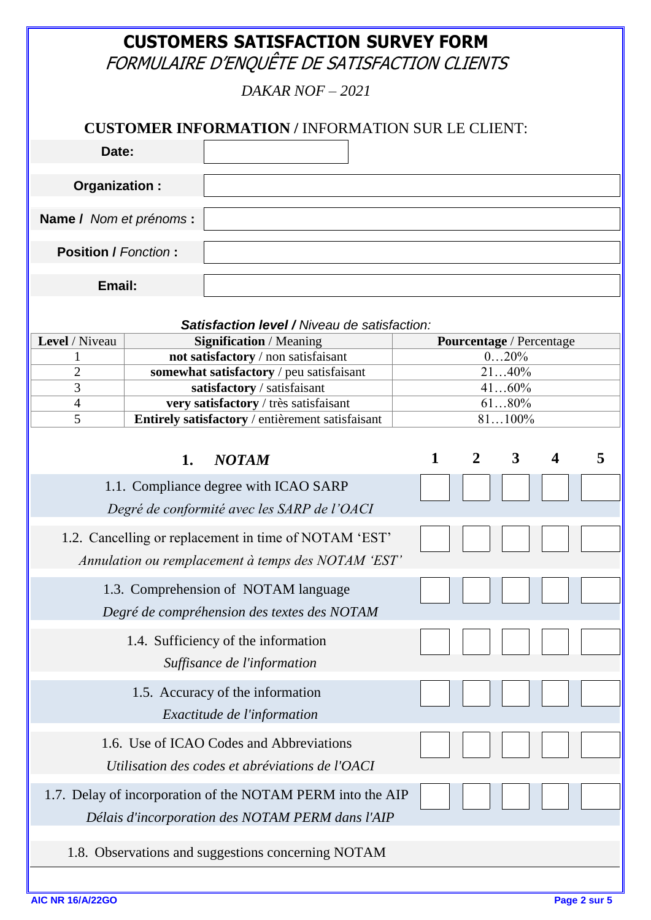# **CUSTOMERS SATISFACTION SURVEY FORM**

FORMULAIRE D'ENQUÊTE DE SATISFACTION CLIENTS

*DAKAR NOF – 2021*

|                             |    | $DANAN IVUI = 2021$                                                                                            |              |                          |        |                         |   |
|-----------------------------|----|----------------------------------------------------------------------------------------------------------------|--------------|--------------------------|--------|-------------------------|---|
|                             |    | <b>CUSTOMER INFORMATION / INFORMATION SUR LE CLIENT:</b>                                                       |              |                          |        |                         |   |
| Date:                       |    |                                                                                                                |              |                          |        |                         |   |
| Organization:               |    |                                                                                                                |              |                          |        |                         |   |
|                             |    |                                                                                                                |              |                          |        |                         |   |
| Name / Nom et prénoms :     |    |                                                                                                                |              |                          |        |                         |   |
| <b>Position / Fonction:</b> |    |                                                                                                                |              |                          |        |                         |   |
| Email:                      |    |                                                                                                                |              |                          |        |                         |   |
|                             |    |                                                                                                                |              |                          |        |                         |   |
| Level / Niveau              |    | <b>Satisfaction level / Niveau de satisfaction:</b><br><b>Signification / Meaning</b>                          |              | Pourcentage / Percentage |        |                         |   |
|                             |    | not satisfactory / non satisfaisant                                                                            |              |                          | 020%   |                         |   |
| $\overline{2}$              |    | somewhat satisfactory / peu satisfaisant                                                                       |              |                          | 2140%  |                         |   |
| 3                           |    | satisfactory / satisfaisant                                                                                    |              |                          | 4160%  |                         |   |
| $\overline{4}$              |    | very satisfactory / très satisfaisant                                                                          |              |                          | 6180%  |                         |   |
| 5                           |    | Entirely satisfactory / entièrement satisfaisant                                                               |              |                          | 81100% |                         |   |
|                             | 1. | <b>NOTAM</b>                                                                                                   | $\mathbf{1}$ | $\overline{2}$           | 3      | $\overline{\mathbf{4}}$ | 5 |
|                             |    | 1.1. Compliance degree with ICAO SARP                                                                          |              |                          |        |                         |   |
|                             |    | Degré de conformité avec les SARP de l'OACI                                                                    |              |                          |        |                         |   |
|                             |    | 1.2. Cancelling or replacement in time of NOTAM 'EST'<br>Annulation ou remplacement à temps des NOTAM 'EST'    |              |                          |        |                         |   |
|                             |    | 1.3. Comprehension of NOTAM language<br>Degré de compréhension des textes des NOTAM                            |              |                          |        |                         |   |
|                             |    | 1.4. Sufficiency of the information<br>Suffisance de l'information                                             |              |                          |        |                         |   |
|                             |    | 1.5. Accuracy of the information<br>Exactitude de l'information                                                |              |                          |        |                         |   |
|                             |    | 1.6. Use of ICAO Codes and Abbreviations<br>Utilisation des codes et abréviations de l'OACI                    |              |                          |        |                         |   |
|                             |    | 1.7. Delay of incorporation of the NOTAM PERM into the AIP<br>Délais d'incorporation des NOTAM PERM dans l'AIP |              |                          |        |                         |   |
|                             |    | 1.8. Observations and suggestions concerning NOTAM                                                             |              |                          |        |                         |   |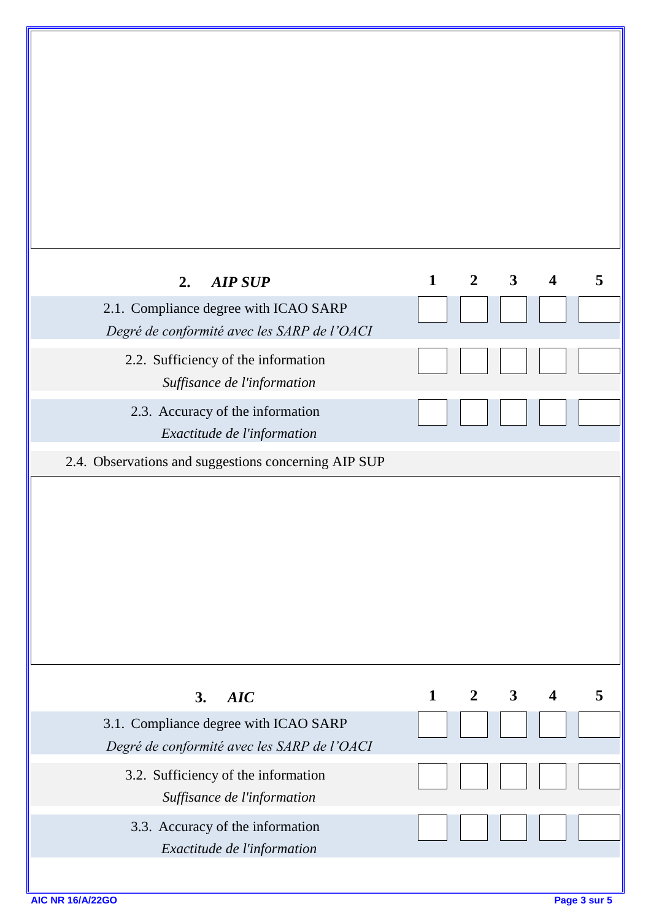| $\mathbf{1}$ | $\overline{2}$ | $\mathbf{3}$ | $\overline{\mathbf{4}}$ | 5 |
|--------------|----------------|--------------|-------------------------|---|
|              |                |              |                         |   |
|              |                |              |                         |   |
|              |                |              |                         |   |
|              |                |              |                         |   |
|              |                |              |                         |   |
| $\mathbf{1}$ | $\overline{2}$ | $\mathbf{3}$ | $\overline{\mathbf{4}}$ | 5 |
|              |                |              |                         |   |
|              |                |              |                         |   |
|              |                |              |                         |   |
|              |                |              |                         |   |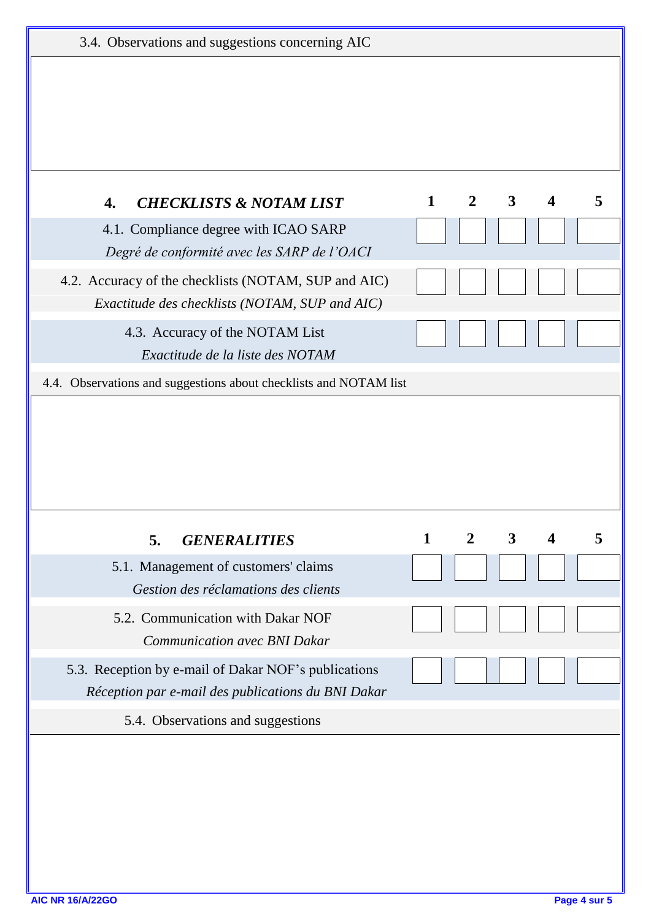| 3.4. Observations and suggestions concerning AIC                                                           |              |                |              |                  |   |
|------------------------------------------------------------------------------------------------------------|--------------|----------------|--------------|------------------|---|
|                                                                                                            |              |                |              |                  |   |
|                                                                                                            |              |                |              |                  |   |
|                                                                                                            |              |                |              |                  |   |
| <b>CHECKLISTS &amp; NOTAM LIST</b><br>4.                                                                   | $\mathbf{1}$ | $\overline{2}$ | $\mathbf{3}$ | $\boldsymbol{4}$ | 5 |
| 4.1. Compliance degree with ICAO SARP<br>Degré de conformité avec les SARP de l'OACI                       |              |                |              |                  |   |
| 4.2. Accuracy of the checklists (NOTAM, SUP and AIC)<br>Exactitude des checklists (NOTAM, SUP and AIC)     |              |                |              |                  |   |
| 4.3. Accuracy of the NOTAM List<br>Exactitude de la liste des NOTAM                                        |              |                |              |                  |   |
|                                                                                                            |              |                |              |                  |   |
| 4.4. Observations and suggestions about checklists and NOTAM list                                          |              |                |              |                  |   |
|                                                                                                            |              |                |              |                  |   |
| 5.<br><b>GENERALITIES</b>                                                                                  | $\mathbf{1}$ | $\overline{2}$ | $\mathbf{3}$ | $\boldsymbol{4}$ | 5 |
| 5.1. Management of customers' claims<br>Gestion des réclamations des clients                               |              |                |              |                  |   |
| 5.2. Communication with Dakar NOF<br><b>Communication avec BNI Dakar</b>                                   |              |                |              |                  |   |
| 5.3. Reception by e-mail of Dakar NOF's publications<br>Réception par e-mail des publications du BNI Dakar |              |                |              |                  |   |
| 5.4. Observations and suggestions                                                                          |              |                |              |                  |   |